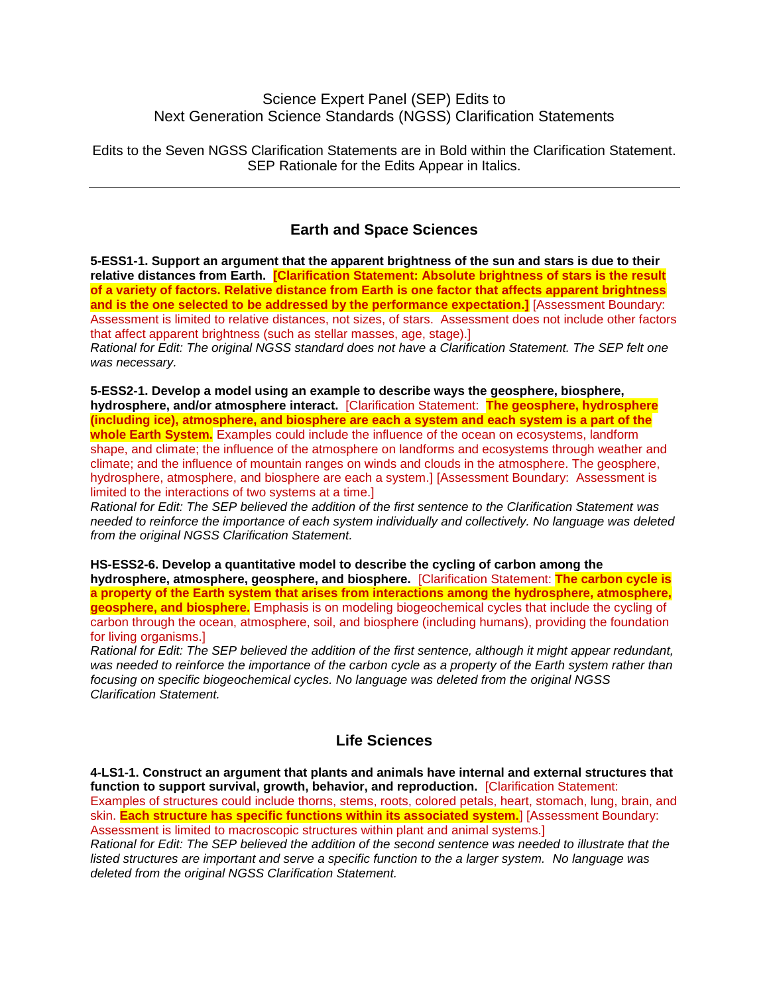### Science Expert Panel (SEP) Edits to Next Generation Science Standards (NGSS) Clarification Statements

Edits to the Seven NGSS Clarification Statements are in Bold within the Clarification Statement. SEP Rationale for the Edits Appear in Italics.

## **Earth and Space Sciences**

**5-ESS1-1. Support an argument that the apparent brightness of the sun and stars is due to their**  relative distances from Earth. **[Clarification Statement: Absolute brightness of stars is the result of a variety of factors. Relative distance from Earth is one factor that affects apparent brightness and is the one selected to be addressed by the performance expectation.]** [Assessment Boundary: Assessment is limited to relative distances, not sizes, of stars. Assessment does not include other factors that affect apparent brightness (such as stellar masses, age, stage).]

*Rational for Edit: The original NGSS standard does not have a Clarification Statement. The SEP felt one was necessary.*

**5-ESS2-1. Develop a model using an example to describe ways the geosphere, biosphere, hydrosphere, and/or atmosphere interact.** [Clarification Statement: **The geosphere, hydrosphere (including ice), atmosphere, and biosphere are each a system and each system is a part of the whole Earth System.** Examples could include the influence of the ocean on ecosystems, landform shape, and climate; the influence of the atmosphere on landforms and ecosystems through weather and climate; and the influence of mountain ranges on winds and clouds in the atmosphere. The geosphere, hydrosphere, atmosphere, and biosphere are each a system.] [Assessment Boundary: Assessment is limited to the interactions of two systems at a time.]

*Rational for Edit: The SEP believed the addition of the first sentence to the Clarification Statement was needed to reinforce the importance of each system individually and collectively. No language was deleted from the original NGSS Clarification Statement.*

#### **HS-ESS2-6. Develop a quantitative model to describe the cycling of carbon among the**

**hydrosphere, atmosphere, geosphere, and biosphere.** [Clarification Statement: **The carbon cycle is a property of the Earth system that arises from interactions among the hydrosphere, atmosphere, geosphere, and biosphere.** Emphasis is on modeling biogeochemical cycles that include the cycling of carbon through the ocean, atmosphere, soil, and biosphere (including humans), providing the foundation for living organisms.]

*Rational for Edit: The SEP believed the addition of the first sentence, although it might appear redundant, was needed to reinforce the importance of the carbon cycle as a property of the Earth system rather than focusing on specific biogeochemical cycles. No language was deleted from the original NGSS Clarification Statement.*

### **Life Sciences**

**4-LS1-1. Construct an argument that plants and animals have internal and external structures that function to support survival, growth, behavior, and reproduction.** [Clarification Statement: Examples of structures could include thorns, stems, roots, colored petals, heart, stomach, lung, brain, and skin. **Each structure has specific functions within its associated system.**] [Assessment Boundary: Assessment is limited to macroscopic structures within plant and animal systems.]

*Rational for Edit: The SEP believed the addition of the second sentence was needed to illustrate that the listed structures are important and serve a specific function to the a larger system. No language was deleted from the original NGSS Clarification Statement.*